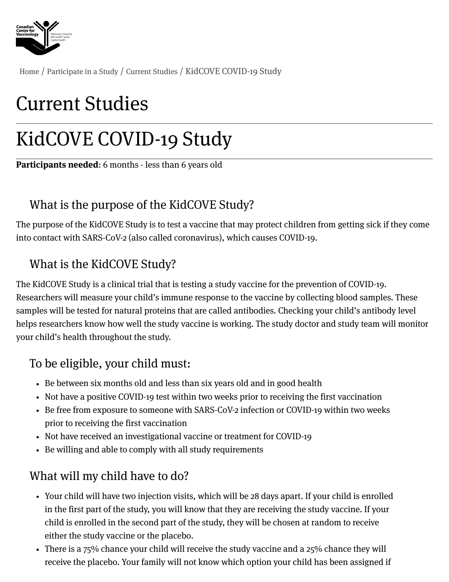

[Home](https://centerforvaccinology.ca/) / [Participate](https://centerforvaccinology.ca/participate-in-a-study/) in a Study / [Current](https://centerforvaccinology.ca/participate-in-a-study/current-studies/) Studies / KidCOVE COVID-19 Study

# Current Studies

# KidCOVE COVID-19 Study

Participants needed: 6 months - less than 6 years old

### What is the purpose of the KidCOVE Study?

The purpose of the KidCOVE Study is to test a vaccine that may protect children from getting sick if they come into contact with SARS-CoV-2 (also called coronavirus), which causes COVID-19.

#### What is the KidCOVE Study?

The KidCOVE Study is a clinical trial that is testing a study vaccine for the prevention of COVID-19. Researchers will measure your child's immune response to the vaccine by collecting blood samples. These samples will be tested for natural proteins that are called antibodies. Checking your child's antibody level helps researchers know how well the study vaccine is working. The study doctor and study team will monitor your child's health throughout the study.

#### To be eligible, your child must:

- Be between six months old and less than six years old and in good health
- Not have a positive COVID-19 test within two weeks prior to receiving the first vaccination
- Be free from exposure to someone with SARS-CoV-2 infection or COVID-19 within two weeks prior to receiving the first vaccination
- Not have received an investigational vaccine or treatment for COVID-19
- Be willing and able to comply with all study requirements

### What will my child have to do?

- Your child will have two injection visits, which will be 28 days apart. If your child is enrolled in the first part of the study, you will know that they are receiving the study vaccine. If your child is enrolled in the second part of the study, they will be chosen at random to receive either the study vaccine or the placebo.
- There is a  $75\%$  chance your child will receive the study vaccine and a  $25\%$  chance they will receive the placebo. Your family will not know which option your child has been assigned if